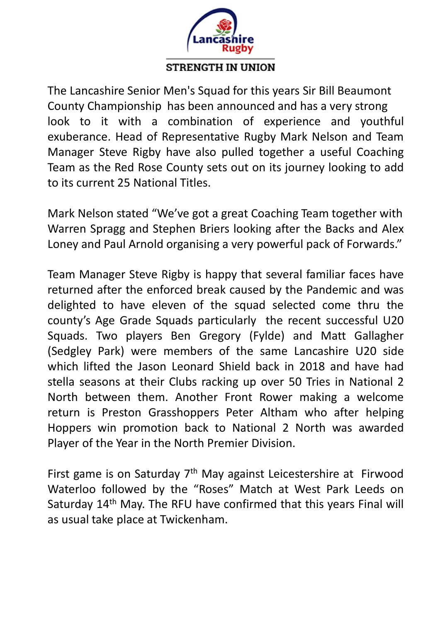

The Lancashire Senior Men's Squad for this years Sir Bill Beaumont **CALCOUTER COUNTROLLARY CONTROLLARY CHAMPION**<br>County Championship has been announced and has a very strong<br>look to it with a combination of experience and youthful<br>exuberance. Head of Representative Rugby Mark Nelson and T **EXECUTE:**<br> **CALCE THE CONFORMATION**<br>
The Lancashire Senior Men's Squad for this years Sir Bill Beaumont<br>
County Championship has been announced and has a very strong<br>
look to it with a combination of experience and youthf exuberance. Head of Representative Rugby Mark Nelson and Team **EXECUTE:**<br>The Lancashire Senior Men's Squad for this years Sir Bill Beaumont<br>County Championship has been announced and has a very strong<br>look to it with a combination of experience and youthful<br>exuberance. Head of Repres THE MOVE TO COUNTRY THE COUNTRY THE UNION The Lancashire Senior Men's Squad for this years Sir Bill Beaumont<br>County Championship has been announced and has a very strong<br>look to it with a combination of experience and yout **EXECTS THE CONSUMED STRENGTH IN UNION**<br>The Lancashire Senior Men's Squad for this years Sir Bill Beaumont<br>County Championship has been announced and has a very strong<br>look to it with a combination of experience and youthf **EXECTE IS A GASS THE COACH THE COACH THE COACH THE UNITED STRENGTH IN UNION**<br>The Lancashire Senior Men's Squad for this years Sir Bill Beaumont<br>County Championship has been announced and has a very strong<br>look to it with **EXECTS AND STRENGTH IN UNION**<br>The Lancashire Senior Men's Squad for this years Sir Bill Beaumont<br>County Championship has been announced and has a very strong<br>look to it with a combination of experience and youthful<br>exuber **STRENGTH IN UNION**<br>
The Lancashire Senior Men's Squad for this years Sir Bill Beaumont<br>
County Championship has been announced and has a very strong<br>
look to it with a combination of experience and youthful<br>
exuberance. H The Lancashire senior wien s squad for this years sir Bill Beaumont<br>County Championship has been announced and has a very strong<br>look to it with a combination of experience and youthful<br>exuberance. Head of Representative R County Championship has been announced and has a very strong<br>look to it with a combination of experience and youthful<br>exuberance. Head of Representative Rugby Mark Nelson and Team<br>Manager Steve Rigby have also pulled toget

dook to it with a combination or experience and youthium<br>exuberance. Head of Representative Rugby Mark Nelson and Team<br>Manager Steve Rigby have also pulled together a useful Coaching<br>Team as the Red Rose County sets out on exuberance. Head of Representative Rugby Mark Neison and Team<br>Manager Steve Rigby have also pulled together a useful Coaching<br>Team as the Red Rose County sets out on its journey looking to add<br>to its current 25 National Ti Manager steve Rigby have also pulled together a useful Coaching<br>Team as the Red Rose County sets out on its journey looking to add<br>to its current 25 National Titles.<br>Mark Nelson stated "We've got a great Coaching Team toge ream as the Red Rose County sets out on its journey looking to add<br>to its current 25 National Titles.<br>Mark Nelson stated "We've got a great Coaching Team together with<br>Warren Spragg and Stephen Briers looking after the Bac ID IS Current 25 National Tities.<br>
Mark Nelson stated "We've got a great Coaching Team together with<br>
Warren Spragg and Stephen Briers looking after the Backs and Alex<br>
Loney and Paul Arnold organising a very powerful pack Mark Nelson stated "We've got a great Coaching Team together with<br>Warren Spragg and Stephen Briers looking after the Backs and Alex<br>Loney and Paul Arnold organising a very powerful pack of Forwards."<br>Team Manager Steve Rig Mark Nelson stated We Ve got a great Coaching learn together With<br>Warren Spragg and Stephen Briers looking after the Backs and Alex<br>Loney and Paul Arnold organising a very powerful pack of Forwards."<br>Team Manager Steve Rig Warren spragg and stephen Briers looking after the Backs and Alex<br>Loney and Paul Arnold organising a very powerful pack of Forwards."<br>Team Manager Steve Rigby is happy that several familiar faces have<br>returned after the en Loney and Paul Arhold organising a very poweriul pack of Forwards.<br>Team Manager Steve Rigby is happy that several familiar faces have<br>returned after the enforced break caused by the Pandemic and was<br>delighted to have eleve Team Manager Steve Rigby is happy that several familiar faces have<br>returned after the enforced break caused by the Pandemic and was<br>delighted to have eleven of the squad selected come thru the<br>county's Age Grade Squads par returned after the emorced break caused by the Pandemic and was<br>delighted to have eleven of the squad selected come thru the<br>County's Age Grade Squads particularly the recent successful U20<br>Squads. Two players Ben Gregory delighted to have eleven of the squad selected come thru the<br>county's Age Grade Squads particularly the recent successful U20<br>Squads. Two players Ben Gregory (Fylde) and Matt Gallagher<br>(Sedgley Park) were members of the sa County's Age Grade Squads particularly the recent successium O20<br>Squads. Two players Ben Gregory (Fylde) and Matt Gallagher<br>(Sedgley Park) were members of the same Lancashire U20 side<br>which lifted the Jason Leonard Shield Squads. Two players Ben Gregory (Fyide) and Matt Gallagner<br>(Sedgley Park) were members of the same Lancashire U20 side<br>which lifted the Jason Leonard Shield back in 2018 and have had<br>stella seasons at their Clubs racking u